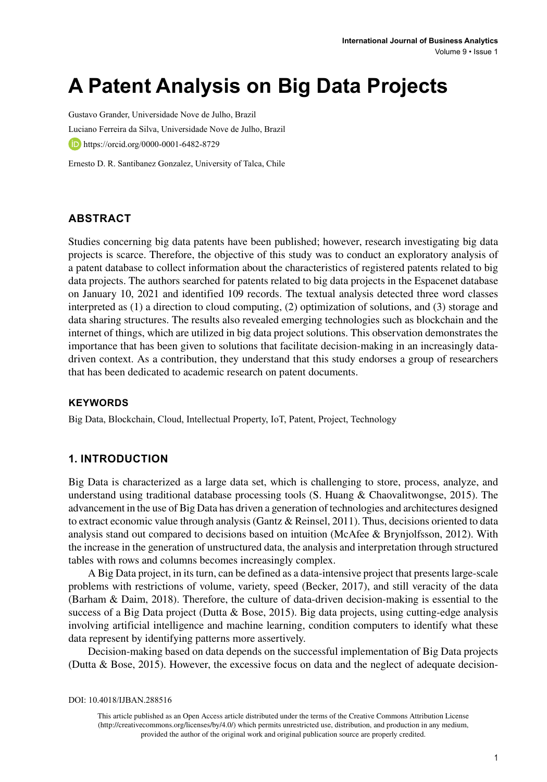# **A Patent Analysis on Big Data Projects**

Gustavo Grander, Universidade Nove de Julho, Brazil Luciano Ferreira da Silva, Universidade Nove de Julho, Brazil https://orcid.org/0000-0001-6482-8729

Ernesto D. R. Santibanez Gonzalez, University of Talca, Chile

## **ABSTRACT**

Studies concerning big data patents have been published; however, research investigating big data projects is scarce. Therefore, the objective of this study was to conduct an exploratory analysis of a patent database to collect information about the characteristics of registered patents related to big data projects. The authors searched for patents related to big data projects in the Espacenet database on January 10, 2021 and identified 109 records. The textual analysis detected three word classes interpreted as (1) a direction to cloud computing, (2) optimization of solutions, and (3) storage and data sharing structures. The results also revealed emerging technologies such as blockchain and the internet of things, which are utilized in big data project solutions. This observation demonstrates the importance that has been given to solutions that facilitate decision-making in an increasingly datadriven context. As a contribution, they understand that this study endorses a group of researchers that has been dedicated to academic research on patent documents.

#### **Keywords**

Big Data, Blockchain, Cloud, Intellectual Property, IoT, Patent, Project, Technology

## **1. INTRODUCTION**

Big Data is characterized as a large data set, which is challenging to store, process, analyze, and understand using traditional database processing tools (S. Huang & Chaovalitwongse, 2015). The advancement in the use of Big Data has driven a generation of technologies and architectures designed to extract economic value through analysis (Gantz & Reinsel, 2011). Thus, decisions oriented to data analysis stand out compared to decisions based on intuition (McAfee & Brynjolfsson, 2012). With the increase in the generation of unstructured data, the analysis and interpretation through structured tables with rows and columns becomes increasingly complex.

A Big Data project, in its turn, can be defined as a data-intensive project that presents large-scale problems with restrictions of volume, variety, speed (Becker, 2017), and still veracity of the data (Barham & Daim, 2018). Therefore, the culture of data-driven decision-making is essential to the success of a Big Data project (Dutta & Bose, 2015). Big data projects, using cutting-edge analysis involving artificial intelligence and machine learning, condition computers to identify what these data represent by identifying patterns more assertively.

Decision-making based on data depends on the successful implementation of Big Data projects (Dutta & Bose, 2015). However, the excessive focus on data and the neglect of adequate decision-

DOI: 10.4018/IJBAN.288516

This article published as an Open Access article distributed under the terms of the Creative Commons Attribution License (http://creativecommons.org/licenses/by/4.0/) which permits unrestricted use, distribution, and production in any medium, provided the author of the original work and original publication source are properly credited.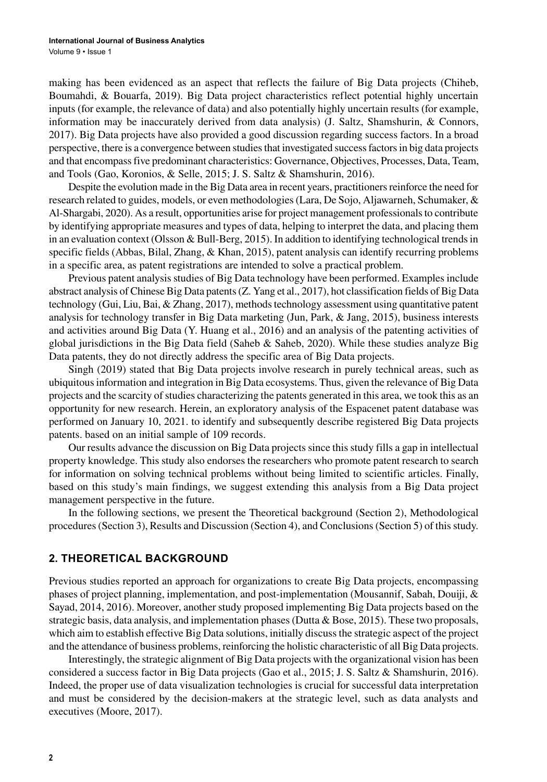making has been evidenced as an aspect that reflects the failure of Big Data projects (Chiheb, Boumahdi, & Bouarfa, 2019). Big Data project characteristics reflect potential highly uncertain inputs (for example, the relevance of data) and also potentially highly uncertain results (for example, information may be inaccurately derived from data analysis) (J. Saltz, Shamshurin, & Connors, 2017). Big Data projects have also provided a good discussion regarding success factors. In a broad perspective, there is a convergence between studies that investigated success factors in big data projects and that encompass five predominant characteristics: Governance, Objectives, Processes, Data, Team, and Tools (Gao, Koronios, & Selle, 2015; J. S. Saltz & Shamshurin, 2016).

Despite the evolution made in the Big Data area in recent years, practitioners reinforce the need for research related to guides, models, or even methodologies (Lara, De Sojo, Aljawarneh, Schumaker, & Al-Shargabi, 2020). As a result, opportunities arise for project management professionals to contribute by identifying appropriate measures and types of data, helping to interpret the data, and placing them in an evaluation context (Olsson & Bull-Berg, 2015). In addition to identifying technological trends in specific fields (Abbas, Bilal, Zhang, & Khan, 2015), patent analysis can identify recurring problems in a specific area, as patent registrations are intended to solve a practical problem.

Previous patent analysis studies of Big Data technology have been performed. Examples include abstract analysis of Chinese Big Data patents (Z. Yang et al., 2017), hot classification fields of Big Data technology (Gui, Liu, Bai, & Zhang, 2017), methods technology assessment using quantitative patent analysis for technology transfer in Big Data marketing (Jun, Park, & Jang, 2015), business interests and activities around Big Data (Y. Huang et al., 2016) and an analysis of the patenting activities of global jurisdictions in the Big Data field (Saheb & Saheb, 2020). While these studies analyze Big Data patents, they do not directly address the specific area of Big Data projects.

Singh (2019) stated that Big Data projects involve research in purely technical areas, such as ubiquitous information and integration in Big Data ecosystems. Thus, given the relevance of Big Data projects and the scarcity of studies characterizing the patents generated in this area, we took this as an opportunity for new research. Herein, an exploratory analysis of the Espacenet patent database was performed on January 10, 2021. to identify and subsequently describe registered Big Data projects patents. based on an initial sample of 109 records.

Our results advance the discussion on Big Data projects since this study fills a gap in intellectual property knowledge. This study also endorses the researchers who promote patent research to search for information on solving technical problems without being limited to scientific articles. Finally, based on this study's main findings, we suggest extending this analysis from a Big Data project management perspective in the future.

In the following sections, we present the Theoretical background (Section 2), Methodological procedures (Section 3), Results and Discussion (Section 4), and Conclusions (Section 5) of this study.

## **2. THEORETICAL BACKGROUND**

Previous studies reported an approach for organizations to create Big Data projects, encompassing phases of project planning, implementation, and post-implementation (Mousannif, Sabah, Douiji, & Sayad, 2014, 2016). Moreover, another study proposed implementing Big Data projects based on the strategic basis, data analysis, and implementation phases (Dutta & Bose, 2015). These two proposals, which aim to establish effective Big Data solutions, initially discuss the strategic aspect of the project and the attendance of business problems, reinforcing the holistic characteristic of all Big Data projects.

Interestingly, the strategic alignment of Big Data projects with the organizational vision has been considered a success factor in Big Data projects (Gao et al., 2015; J. S. Saltz & Shamshurin, 2016). Indeed, the proper use of data visualization technologies is crucial for successful data interpretation and must be considered by the decision-makers at the strategic level, such as data analysts and executives (Moore, 2017).